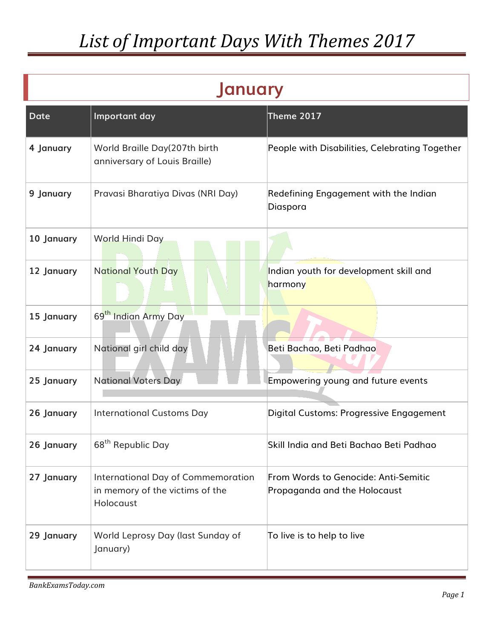| <b>January</b> |                                                                                    |                                                                      |
|----------------|------------------------------------------------------------------------------------|----------------------------------------------------------------------|
| <b>Date</b>    | Important day                                                                      | Theme 2017                                                           |
| 4 January      | World Braille Day(207th birth<br>anniversary of Louis Braille)                     | People with Disabilities, Celebrating Together                       |
| 9 January      | Pravasi Bharatiya Divas (NRI Day)                                                  | Redefining Engagement with the Indian<br>Diaspora                    |
| 10 January     | <b>World Hindi Day</b>                                                             |                                                                      |
| 12 January     | <b>National Youth Day</b>                                                          | Indian youth for development skill and<br>harmony                    |
| 15 January     | 69 <sup>th</sup> Indian Army Day                                                   |                                                                      |
| 24 January     | National girl child day                                                            | Beti Bachao, Beti Padhao                                             |
| 25 January     | <b>National Voters Day</b>                                                         | Empowering young and future events                                   |
| 26 January     | <b>International Customs Day</b>                                                   | Digital Customs: Progressive Engagement                              |
| 26 January     | 68 <sup>th</sup> Republic Day                                                      | Skill India and Beti Bachao Beti Padhao                              |
| 27 January     | International Day of Commemoration<br>in memory of the victims of the<br>Holocaust | From Words to Genocide: Anti-Semitic<br>Propaganda and the Holocaust |
| 29 January     | World Leprosy Day (last Sunday of<br>January)                                      | To live is to help to live                                           |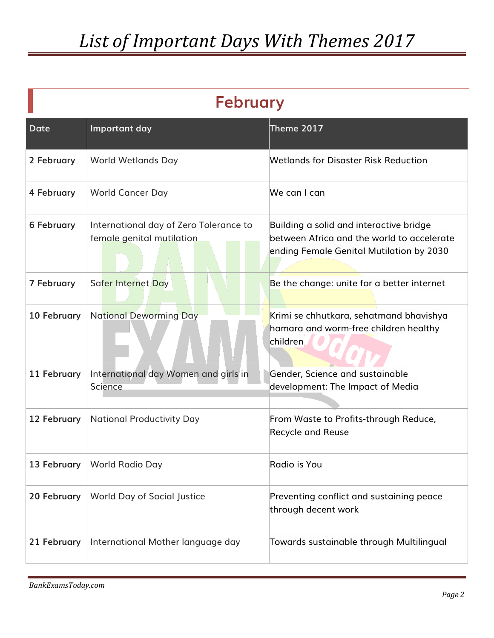| <b>February</b>   |                                                                     |                                                                                                                                   |
|-------------------|---------------------------------------------------------------------|-----------------------------------------------------------------------------------------------------------------------------------|
| <b>Date</b>       | Important day                                                       | Theme 2017                                                                                                                        |
| 2 February        | <b>World Wetlands Day</b>                                           | Wetlands for Disaster Risk Reduction                                                                                              |
| 4 February        | <b>World Cancer Day</b>                                             | We can I can                                                                                                                      |
| <b>6 February</b> | International day of Zero Tolerance to<br>female genital mutilation | Building a solid and interactive bridge<br>between Africa and the world to accelerate<br>ending Female Genital Mutilation by 2030 |
| <b>7 February</b> | Safer Internet Day                                                  | Be the change: unite for a better internet                                                                                        |
| 10 February       | <b>National Deworming Day</b>                                       | Krimi se chhutkara, sehatmand bhavishya<br>hamara and worm-free children healthy<br>children.                                     |
| 11 February       | International day Women and girls in<br>Science                     | Gender, Science and sustainable<br>development: The Impact of Media                                                               |
| 12 February       | <b>National Productivity Day</b>                                    | From Waste to Profits-through Reduce,<br><b>Recycle and Reuse</b>                                                                 |
| 13 February       | World Radio Day                                                     | Radio is You                                                                                                                      |
| 20 February       | <b>World Day of Social Justice</b>                                  | Preventing conflict and sustaining peace<br>through decent work                                                                   |
| 21 February       | International Mother language day                                   | Towards sustainable through Multilingual                                                                                          |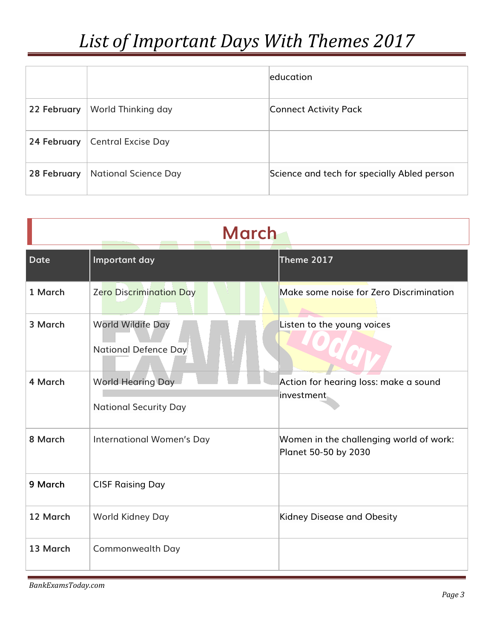|             |                             | education                                   |
|-------------|-----------------------------|---------------------------------------------|
| 22 February | World Thinking day          | Connect Activity Pack                       |
| 24 February | <b>Central Excise Day</b>   |                                             |
| 28 February | <b>National Science Day</b> | Science and tech for specially Abled person |

| <b>March</b> |                                                          |                                                                 |
|--------------|----------------------------------------------------------|-----------------------------------------------------------------|
| <b>Date</b>  | Important day                                            | Theme 2017                                                      |
| 1 March      | <b>Zero Discrimination Day</b>                           | Make some noise for Zero Discrimination                         |
| 3 March      | World Wildife Day<br>National Defence Day                | Listen to the young voices                                      |
| 4 March      | <b>World Hearing Day</b><br><b>National Security Day</b> | Action for hearing loss: make a sound<br>investment             |
| 8 March      | <b>International Women's Day</b>                         | Women in the challenging world of work:<br>Planet 50-50 by 2030 |
| 9 March      | <b>CISF Raising Day</b>                                  |                                                                 |
| 12 March     | World Kidney Day                                         | Kidney Disease and Obesity                                      |
| 13 March     | Commonwealth Day                                         |                                                                 |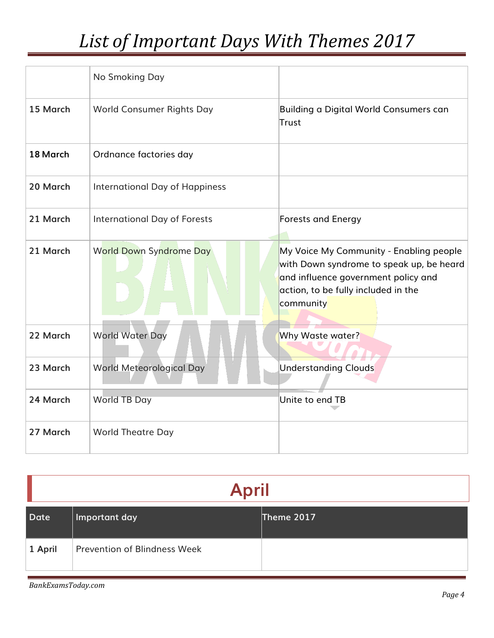|          | No Smoking Day                        |                                                                                                                                                                                |
|----------|---------------------------------------|--------------------------------------------------------------------------------------------------------------------------------------------------------------------------------|
| 15 March | <b>World Consumer Rights Day</b>      | Building a Digital World Consumers can<br><b>Trust</b>                                                                                                                         |
| 18 March | Ordnance factories day                |                                                                                                                                                                                |
| 20 March | <b>International Day of Happiness</b> |                                                                                                                                                                                |
| 21 March | <b>International Day of Forests</b>   | <b>Forests and Energy</b>                                                                                                                                                      |
| 21 March | <b>World Down Syndrome Day</b>        | My Voice My Community - Enabling people<br>with Down syndrome to speak up, be heard<br>and influence government policy and<br>action, to be fully included in the<br>community |
| 22 March | <b>World Water Day</b>                | Why Waste water?                                                                                                                                                               |
| 23 March | <b>World Meteorological Day</b>       | <b>Understanding Clouds</b>                                                                                                                                                    |
| 24 March | World TB Day                          | Unite to end TB                                                                                                                                                                |
| 27 March | <b>World Theatre Day</b>              |                                                                                                                                                                                |

| <b>April</b> |                                     |            |
|--------------|-------------------------------------|------------|
| Date         | Important day                       | Theme 2017 |
| 1 April      | <b>Prevention of Blindness Week</b> |            |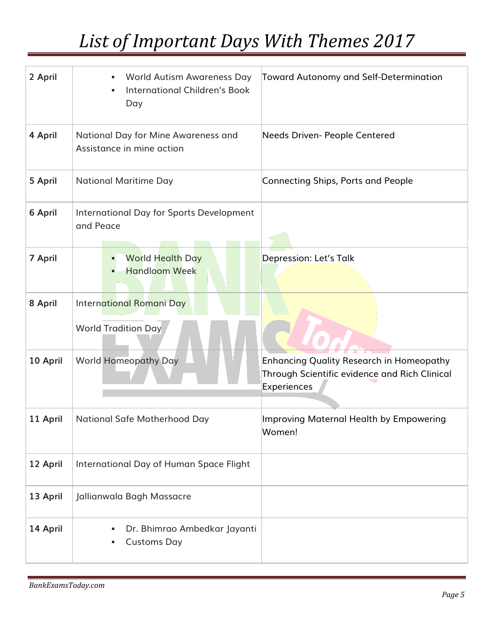| 2 April  | <b>World Autism Awareness Day</b><br>٠<br><b>International Children's Book</b><br>Day | Toward Autonomy and Self-Determination                                                                   |
|----------|---------------------------------------------------------------------------------------|----------------------------------------------------------------------------------------------------------|
| 4 April  | National Day for Mine Awareness and<br>Assistance in mine action                      | Needs Driven- People Centered                                                                            |
| 5 April  | <b>National Maritime Day</b>                                                          | Connecting Ships, Ports and People                                                                       |
| 6 April  | <b>International Day for Sports Development</b><br>and Peace                          |                                                                                                          |
| 7 April  | <b>World Health Day</b><br><b>Handloom Week</b>                                       | Depression: Let's Talk                                                                                   |
| 8 April  | International Romani Day<br><b>World Tradition Day</b>                                |                                                                                                          |
| 10 April | <b>World Homeopathy Day</b>                                                           | Enhancing Quality Research in Homeopathy<br>Through Scientific evidence and Rich Clinical<br>Experiences |
| 11 April | <b>National Safe Motherhood Day</b>                                                   | Improving Maternal Health by Empowering<br>Women!                                                        |
| 12 April | International Day of Human Space Flight                                               |                                                                                                          |
| 13 April | Jallianwala Bagh Massacre                                                             |                                                                                                          |
| 14 April | Dr. Bhimrao Ambedkar Jayanti<br><b>Customs Day</b>                                    |                                                                                                          |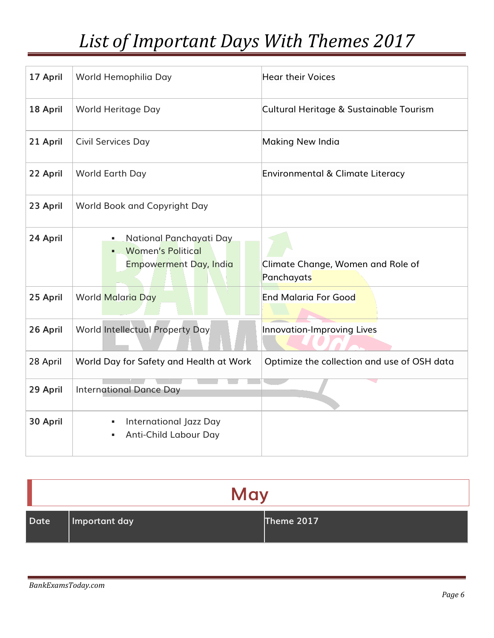| 17 April | World Hemophilia Day                                                                      | <b>Hear their Voices</b>                        |
|----------|-------------------------------------------------------------------------------------------|-------------------------------------------------|
| 18 April | World Heritage Day                                                                        | Cultural Heritage & Sustainable Tourism         |
| 21 April | <b>Civil Services Day</b>                                                                 | Making New India                                |
| 22 April | World Earth Day                                                                           | Environmental & Climate Literacy                |
| 23 April | <b>World Book and Copyright Day</b>                                                       |                                                 |
| 24 April | National Panchayati Day<br>٠<br><b>Women's Political</b><br><b>Empowerment Day, India</b> | Climate Change, Women and Role of<br>Panchayats |
| 25 April | <b>World Malaria Day</b>                                                                  | <b>End Malaria For Good</b>                     |
| 26 April | <b>World Intellectual Property Day</b>                                                    | Innovation-Improving Lives                      |
| 28 April | World Day for Safety and Health at Work                                                   | Optimize the collection and use of OSH data     |
| 29 April | <b>International Dance Day</b>                                                            |                                                 |
| 30 April | International Jazz Day<br>٠<br>Anti-Child Labour Day                                      |                                                 |

| May  |               |            |
|------|---------------|------------|
| Date | Important day | Theme 2017 |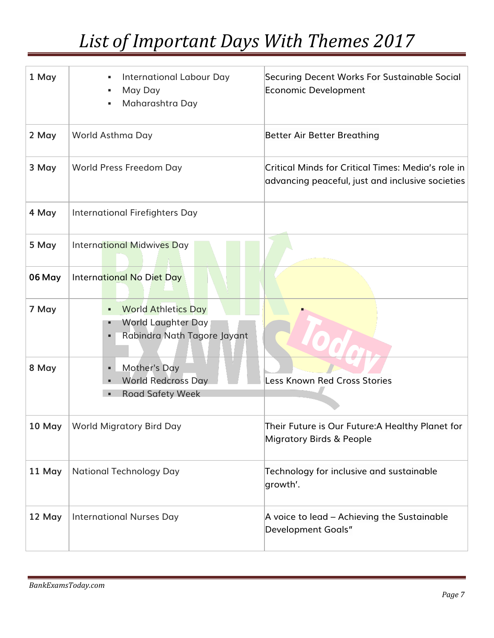| 1 May  | <b>International Labour Day</b><br>May Day<br>Maharashtra Day                                  | Securing Decent Works For Sustainable Social<br><b>Economic Development</b>                            |
|--------|------------------------------------------------------------------------------------------------|--------------------------------------------------------------------------------------------------------|
| 2 May  | World Asthma Day                                                                               | <b>Better Air Better Breathing</b>                                                                     |
| 3 May  | World Press Freedom Day                                                                        | Critical Minds for Critical Times: Media's role in<br>advancing peaceful, just and inclusive societies |
| 4 May  | International Firefighters Day                                                                 |                                                                                                        |
| 5 May  | <b>International Midwives Day</b>                                                              |                                                                                                        |
| 06 May | International No Diet Day                                                                      |                                                                                                        |
| 7 May  | <b>World Athletics Day</b><br>٠<br>World Laughter Day<br>п<br>Rabindra Nath Tagore Jayant<br>٠ |                                                                                                        |
| 8 May  | <b>Mother's Day</b><br>٠<br><b>World Redcross Day</b><br>٠<br><b>Road Safety Week</b>          | <b>Less Known Red Cross Stories</b>                                                                    |
|        | 10 May   World Migratory Bird Day                                                              | Their Future is Our Future: A Healthy Planet for<br><b>Migratory Birds &amp; People</b>                |
| 11 May | <b>National Technology Day</b>                                                                 | Technology for inclusive and sustainable<br>growth'.                                                   |
| 12 May | <b>International Nurses Day</b>                                                                | A voice to lead - Achieving the Sustainable<br><b>Development Goals"</b>                               |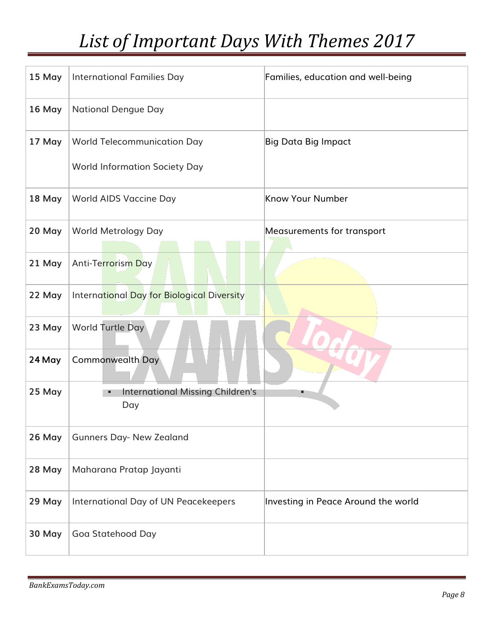| 15 May | <b>International Families Day</b>              | Families, education and well-being  |
|--------|------------------------------------------------|-------------------------------------|
| 16 May | <b>National Dengue Day</b>                     |                                     |
| 17 May | <b>World Telecommunication Day</b>             | <b>Big Data Big Impact</b>          |
|        | <b>World Information Society Day</b>           |                                     |
| 18 May | World AIDS Vaccine Day                         | Know Your Number                    |
| 20 May | World Metrology Day                            | Measurements for transport          |
| 21 May | Anti-Terrorism Day                             |                                     |
| 22 May | International Day for Biological Diversity     |                                     |
| 23 May | World Turtle Day                               |                                     |
| 24 May | <b>Commonwealth Day</b>                        |                                     |
| 25 May | <b>International Missing Children's</b><br>Day |                                     |
| 26 May | <b>Gunners Day- New Zealand</b>                |                                     |
| 28 May | Maharana Pratap Jayanti                        |                                     |
| 29 May | International Day of UN Peacekeepers           | Investing in Peace Around the world |
| 30 May | Goa Statehood Day                              |                                     |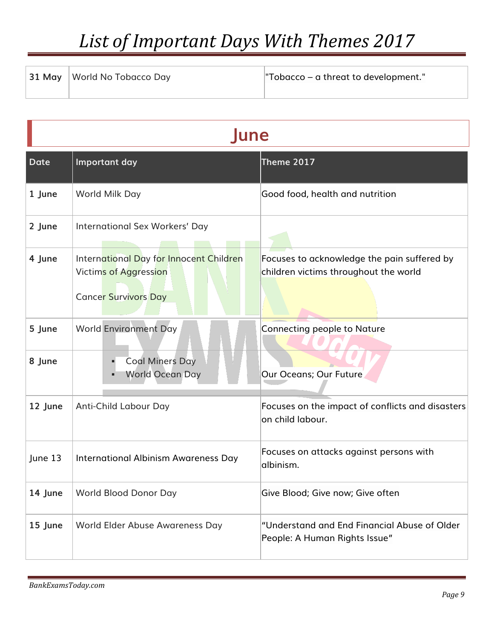| 31 May   World No Tobacco Day | "Tobacco – a threat to development." |
|-------------------------------|--------------------------------------|
|                               |                                      |

| une         |                                                                                                        |                                                                                      |
|-------------|--------------------------------------------------------------------------------------------------------|--------------------------------------------------------------------------------------|
| <b>Date</b> | Important day                                                                                          | Theme 2017                                                                           |
| 1 June      | World Milk Day                                                                                         | Good food, health and nutrition                                                      |
| 2 June      | International Sex Workers' Day                                                                         |                                                                                      |
| 4 June      | International Day for Innocent Children<br><b>Victims of Aggression</b><br><b>Cancer Survivors Day</b> | Focuses to acknowledge the pain suffered by<br>children victims throughout the world |
| 5 June      | <b>World Environment Day</b>                                                                           | Connecting people to Nature                                                          |
| 8 June      | <b>Coal Miners Day</b><br><b>World Ocean Day</b>                                                       | Our Oceans; Our Future                                                               |
| 12 June     | Anti-Child Labour Day                                                                                  | Focuses on the impact of conflicts and disasters<br>on child labour.                 |
| June 13     | International Albinism Awareness Day                                                                   | Focuses on attacks against persons with<br>albinism.                                 |
| 14 June     | World Blood Donor Day                                                                                  | Give Blood; Give now; Give often                                                     |
| 15 June     | World Elder Abuse Awareness Day                                                                        | "Understand and End Financial Abuse of Older<br>People: A Human Rights Issue"        |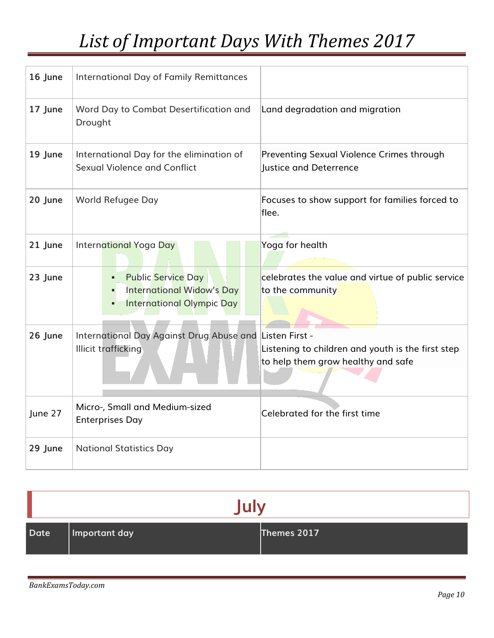| 16 June | International Day of Family Remittances                                                                |                                                                                         |
|---------|--------------------------------------------------------------------------------------------------------|-----------------------------------------------------------------------------------------|
| 17 June | Word Day to Combat Desertification and<br>Drought                                                      | Land degradation and migration                                                          |
| 19 June | International Day for the elimination of<br><b>Sexual Violence and Conflict</b>                        | <b>Preventing Sexual Violence Crimes through</b><br>Justice and Deterrence              |
| 20 June | World Refugee Day                                                                                      | Focuses to show support for families forced to<br>flee.                                 |
| 21 June | International Yoga Day                                                                                 | Yoga for health                                                                         |
| 23 June | <b>Public Service Day</b><br>٠<br><b>International Widow's Day</b><br><b>International Olympic Day</b> | celebrates the value and virtue of public service<br>to the community                   |
| 26 June | International Day Against Drug Abuse and Listen First -<br><b>Illicit trafficking</b>                  | Listening to children and youth is the first step<br>to help them grow healthy and safe |
| June 27 | Micro-, Small and Medium-sized<br><b>Enterprises Day</b>                                               | Celebrated for the first time                                                           |
| 29 June | <b>National Statistics Day</b>                                                                         |                                                                                         |

| <b>July</b> |               |             |
|-------------|---------------|-------------|
| Date        | Important day | Themes 2017 |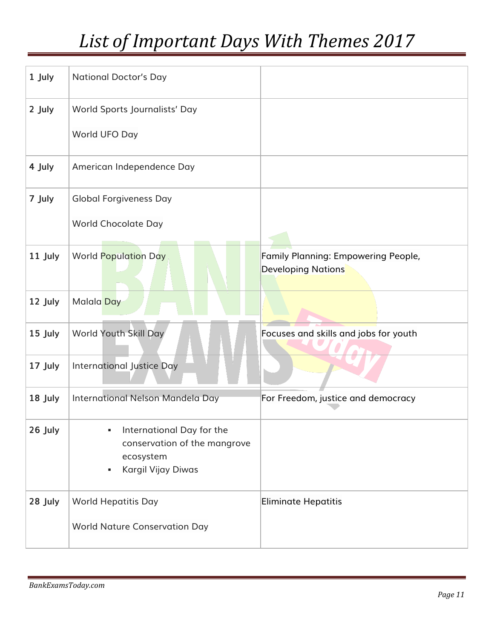| 1 July  | <b>National Doctor's Day</b>                                                                           |                                                                  |
|---------|--------------------------------------------------------------------------------------------------------|------------------------------------------------------------------|
| 2 July  | World Sports Journalists' Day                                                                          |                                                                  |
|         | World UFO Day                                                                                          |                                                                  |
| 4 July  | American Independence Day                                                                              |                                                                  |
| 7 July  | <b>Global Forgiveness Day</b>                                                                          |                                                                  |
|         | <b>World Chocolate Day</b>                                                                             |                                                                  |
| 11 July | <b>World Population Day</b>                                                                            | Family Planning: Empowering People,<br><b>Developing Nations</b> |
| 12 July | Malala Day                                                                                             |                                                                  |
| 15 July | <b>World Youth Skill Day</b>                                                                           | Focuses and skills and jobs for youth                            |
| 17 July | <b>International Justice Day</b>                                                                       |                                                                  |
| 18 July | International Nelson Mandela Day                                                                       | For Freedom, justice and democracy                               |
| 26 July | International Day for the<br>٠<br>conservation of the mangrove<br>ecosystem<br>Kargil Vijay Diwas<br>٠ |                                                                  |
| 28 July | <b>World Hepatitis Day</b><br><b>World Nature Conservation Day</b>                                     | <b>Eliminate Hepatitis</b>                                       |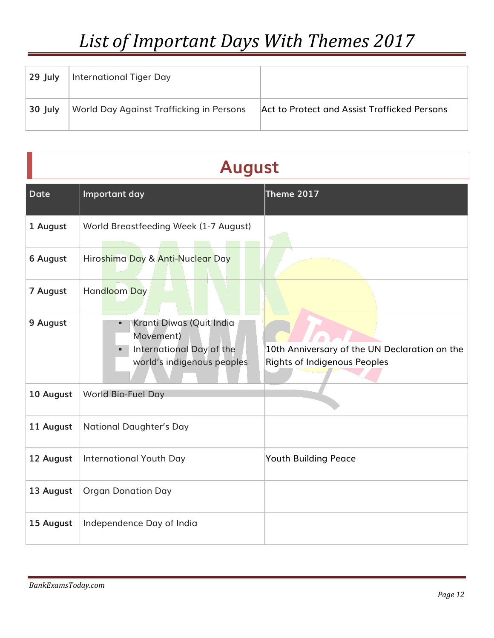| $\sqrt{29}$ July | International Tiger Day                  |                                              |
|------------------|------------------------------------------|----------------------------------------------|
| $30$ July        | World Day Against Trafficking in Persons | Act to Protect and Assist Trafficked Persons |

#### **August**

| <b>Date</b>     | Important day                                                                                   | Theme 2017                                                                           |
|-----------------|-------------------------------------------------------------------------------------------------|--------------------------------------------------------------------------------------|
| 1 August        | World Breastfeeding Week (1-7 August)                                                           |                                                                                      |
| <b>6 August</b> | Hiroshima Day & Anti-Nuclear Day                                                                |                                                                                      |
| 7 August        | Handloom Day                                                                                    |                                                                                      |
| 9 August        | Kranti Diwas (Quit India<br>Movement)<br>International Day of the<br>world's indigenous peoples | 10th Anniversary of the UN Declaration on the<br><b>Rights of Indigenous Peoples</b> |
| 10 August       | World Bio-Fuel Day                                                                              |                                                                                      |
| 11 August       | <b>National Daughter's Day</b>                                                                  |                                                                                      |
| 12 August       | <b>International Youth Day</b>                                                                  | <b>Youth Building Peace</b>                                                          |
| 13 August       | <b>Organ Donation Day</b>                                                                       |                                                                                      |
| 15 August       | Independence Day of India                                                                       |                                                                                      |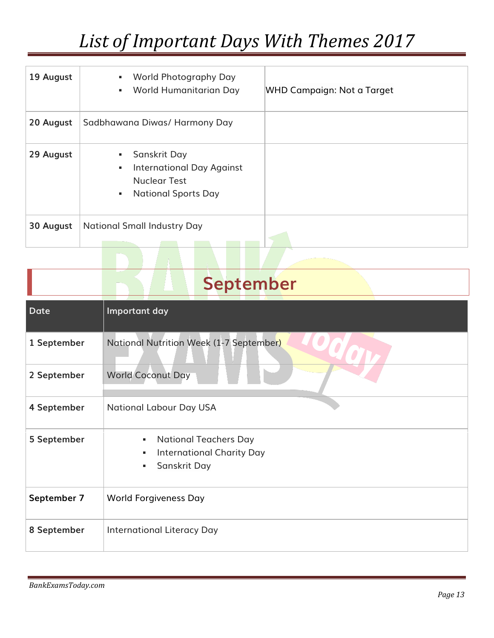| 19 August | World Photography Day<br>٠<br>World Humanitarian Day<br>٠                                                       | WHD Campaign: Not a Target |
|-----------|-----------------------------------------------------------------------------------------------------------------|----------------------------|
| 20 August | Sadbhawana Diwas/ Harmony Day                                                                                   |                            |
| 29 August | Sanskrit Day<br><b>International Day Against</b><br>٠<br><b>Nuclear Test</b><br><b>National Sports Day</b><br>٠ |                            |
| 30 August | <b>National Small Industry Day</b>                                                                              |                            |

|             | <b>September</b>                                                                           |
|-------------|--------------------------------------------------------------------------------------------|
| <b>Date</b> | Important day                                                                              |
| 1 September | National Nutrition Week (1-7 September)                                                    |
| 2 September | <b>World Coconut Day</b>                                                                   |
| 4 September | <b>National Labour Day USA</b>                                                             |
| 5 September | <b>National Teachers Day</b><br>٠<br><b>International Charity Day</b><br>Sanskrit Day<br>٠ |
| September 7 | <b>World Forgiveness Day</b>                                                               |
| 8 September | <b>International Literacy Day</b>                                                          |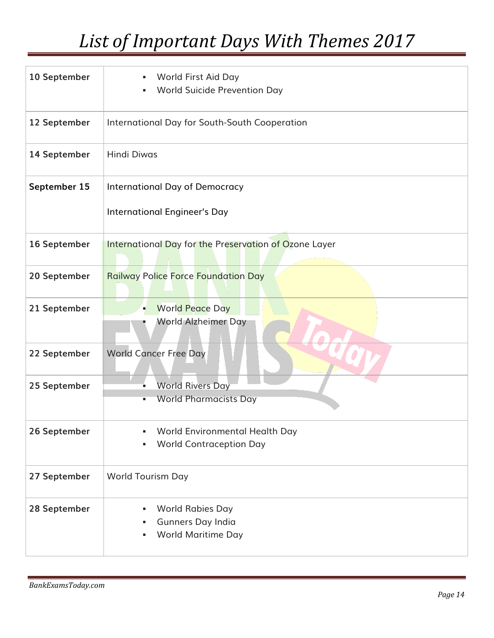| 10 September | World First Aid Day<br><b>World Suicide Prevention Day</b>                          |
|--------------|-------------------------------------------------------------------------------------|
| 12 September | International Day for South-South Cooperation                                       |
| 14 September | <b>Hindi Diwas</b>                                                                  |
| September 15 | International Day of Democracy<br>International Engineer's Day                      |
| 16 September | <b>International Day for the Preservation of Ozone Layer</b>                        |
| 20 September | <b>Railway Police Force Foundation Day</b>                                          |
| 21 September | <b>World Peace Day</b><br>World Alzheimer Day                                       |
| 22 September | <b>World Cancer Free Day</b>                                                        |
| 25 September | <b>World Rivers Day</b><br><b>World Pharmacists Day</b>                             |
| 26 September | World Environmental Health Day<br><b>World Contraception Day</b>                    |
| 27 September | <b>World Tourism Day</b>                                                            |
| 28 September | <b>World Rabies Day</b><br>٠<br>Gunners Day India<br>٠<br><b>World Maritime Day</b> |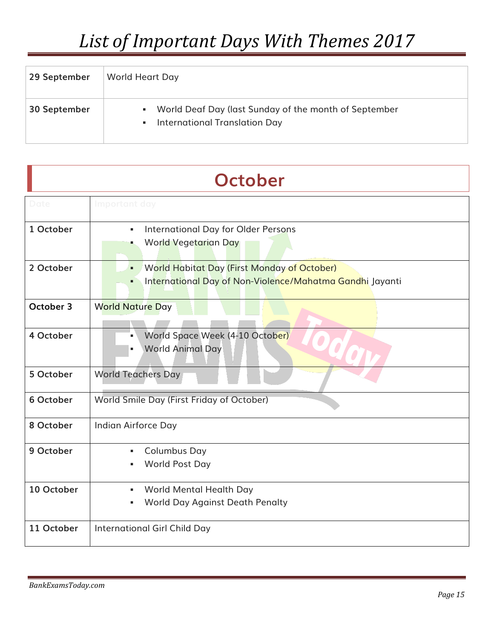| 29 September | World Heart Day                                                                                               |
|--------------|---------------------------------------------------------------------------------------------------------------|
| 30 September | World Deaf Day (last Sunday of the month of September<br>٠<br>International Translation Day<br>$\blacksquare$ |

| <b>October</b> |                                                                                                                          |
|----------------|--------------------------------------------------------------------------------------------------------------------------|
| Date           | Important day                                                                                                            |
| 1 October      | <b>International Day for Older Persons</b><br>$\blacksquare$<br><b>World Vegetarian Day</b><br>a,                        |
| 2 October      | <b>World Habitat Day (First Monday of October)</b><br>٠<br>International Day of Non-Violence/Mahatma Gandhi Jayanti<br>٠ |
| October 3      | <b>World Nature Day</b>                                                                                                  |
| 4 October      | World Space Week (4-10 October)<br>×,<br><b>World Animal Day</b>                                                         |
| 5 October      | <b>World Teachers Day</b>                                                                                                |
| 6 October      | World Smile Day (First Friday of October)                                                                                |
| 8 October      | Indian Airforce Day                                                                                                      |
| 9 October      | <b>Columbus Day</b><br>$\blacksquare$<br>World Post Day<br>٠                                                             |
| 10 October     | World Mental Health Day<br>$\blacksquare$<br><b>World Day Against Death Penalty</b>                                      |
| 11 October     | <b>International Girl Child Day</b>                                                                                      |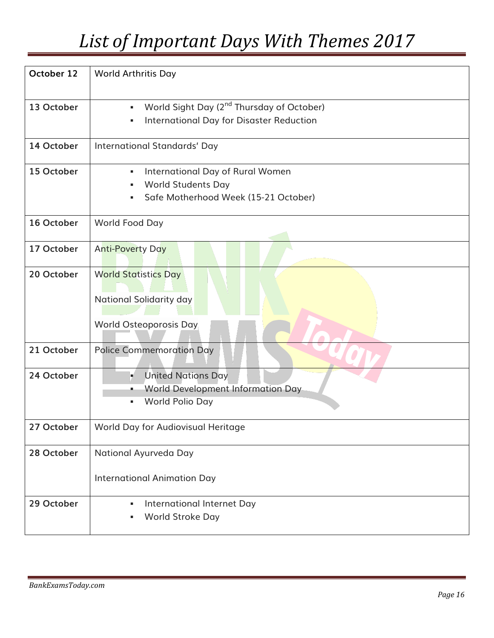| October 12 | <b>World Arthritis Day</b>                                                                                                      |
|------------|---------------------------------------------------------------------------------------------------------------------------------|
| 13 October | World Sight Day (2 <sup>nd</sup> Thursday of October)<br>$\blacksquare$<br><b>International Day for Disaster Reduction</b><br>٠ |
| 14 October | <b>International Standards' Day</b>                                                                                             |
| 15 October | International Day of Rural Women<br>٠<br><b>World Students Day</b><br>Safe Motherhood Week (15-21 October)                      |
| 16 October | World Food Day                                                                                                                  |
| 17 October | <b>Anti-Poverty Day</b>                                                                                                         |
| 20 October | <b>World Statistics Day</b><br>National Solidarity day<br>World Osteoporosis Day                                                |
| 21 October | <b>Police Commemoration Day</b>                                                                                                 |
| 24 October | <b>United Nations Day</b><br>×.<br><b>World Development Information Day</b><br>World Polio Day<br>٠                             |
| 27 October | World Day for Audiovisual Heritage                                                                                              |
| 28 October | National Ayurveda Day<br><b>International Animation Day</b>                                                                     |
| 29 October | International Internet Day<br>٠<br>World Stroke Day<br>٠                                                                        |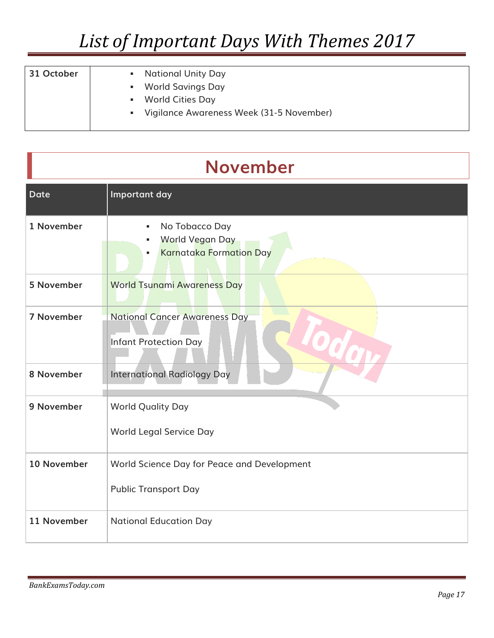| 31 October | <b>National Unity Day</b><br>World Savings Day<br>a.       |
|------------|------------------------------------------------------------|
|            | <b>World Cities Day</b><br>٠                               |
|            | Vigilance Awareness Week (31-5 November)<br>$\mathbf{u}$ . |

#### **November**

| <b>Date</b> | Important day                                                                        |
|-------------|--------------------------------------------------------------------------------------|
| 1 November  | No Tobacco Day<br>٠<br><b>World Vegan Day</b><br><b>Karnataka Formation Day</b><br>٠ |
| 5 November  | <b>World Tsunami Awareness Day</b>                                                   |
| 7 November  | <b>National Cancer Awareness Day</b><br>Infant Protection Day                        |
| 8 November  | <b>International Radiology Day</b>                                                   |
| 9 November  | <b>World Quality Day</b><br>World Legal Service Day                                  |
| 10 November | World Science Day for Peace and Development<br><b>Public Transport Day</b>           |
| 11 November | <b>National Education Day</b>                                                        |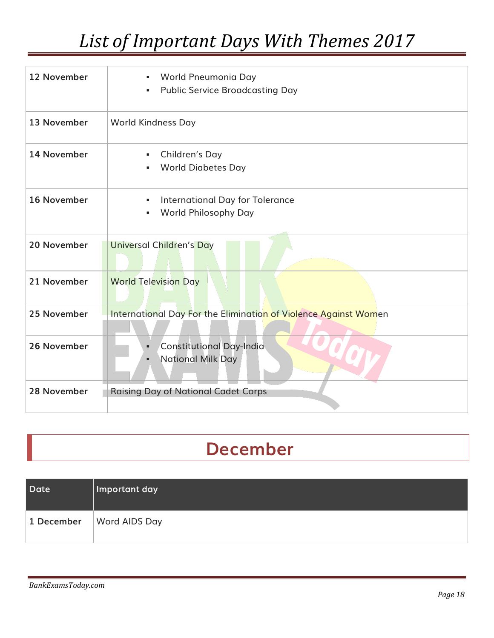| 12 November        | World Pneumonia Day<br>٠,<br><b>Public Service Broadcasting Day</b><br>٠, |
|--------------------|---------------------------------------------------------------------------|
| 13 November        | <b>World Kindness Day</b>                                                 |
| 14 November        | Children's Day<br>٠,<br><b>World Diabetes Day</b><br>٠                    |
| <b>16 November</b> | International Day for Tolerance<br>٠<br><b>World Philosophy Day</b><br>٠  |
| 20 November        | <b>Universal Children's Day</b>                                           |
| 21 November        | <b>World Television Day</b>                                               |
| 25 November        | International Day For the Elimination of Violence Against Women           |
| 26 November        | <b>Constitutional Day-India</b><br>٠<br><b>National Milk Day</b><br>٠     |
| 28 November        | <b>Raising Day of National Cadet Corps</b>                                |

#### **December**

| Date <sup>1</sup> | Important day        |
|-------------------|----------------------|
| 1 December        | <b>Word AIDS Day</b> |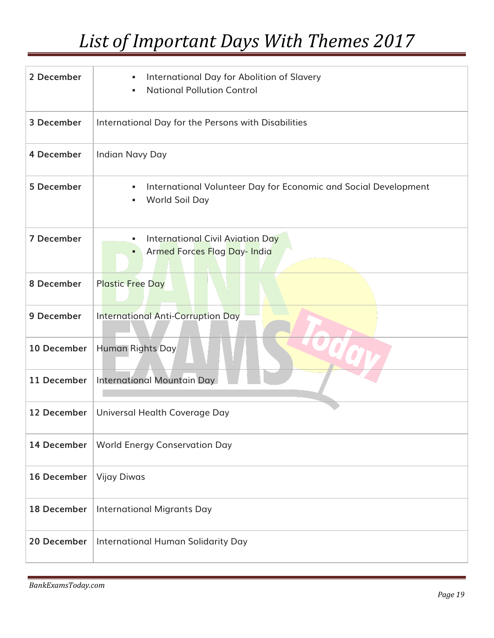| 2 December  | International Day for Abolition of Slavery<br>٠<br><b>National Pollution Control</b><br>٠   |
|-------------|---------------------------------------------------------------------------------------------|
| 3 December  | International Day for the Persons with Disabilities                                         |
| 4 December  | <b>Indian Navy Day</b>                                                                      |
| 5 December  | International Volunteer Day for Economic and Social Development<br>٠<br>World Soil Day<br>٠ |
| 7 December  | International Civil Aviation Day<br>٠<br><b>Armed Forces Flag Day-India</b><br>٠            |
| 8 December  | <b>Plastic Free Day</b>                                                                     |
| 9 December  | <b>International Anti-Corruption Day</b>                                                    |
| 10 December | Human Rights Day                                                                            |
| 11 December | <b>International Mountain Day</b>                                                           |
| 12 December | Universal Health Coverage Day                                                               |
| 14 December | <b>World Energy Conservation Day</b>                                                        |
| 16 December | <b>Vijay Diwas</b>                                                                          |
| 18 December | <b>International Migrants Day</b>                                                           |
| 20 December | International Human Solidarity Day                                                          |